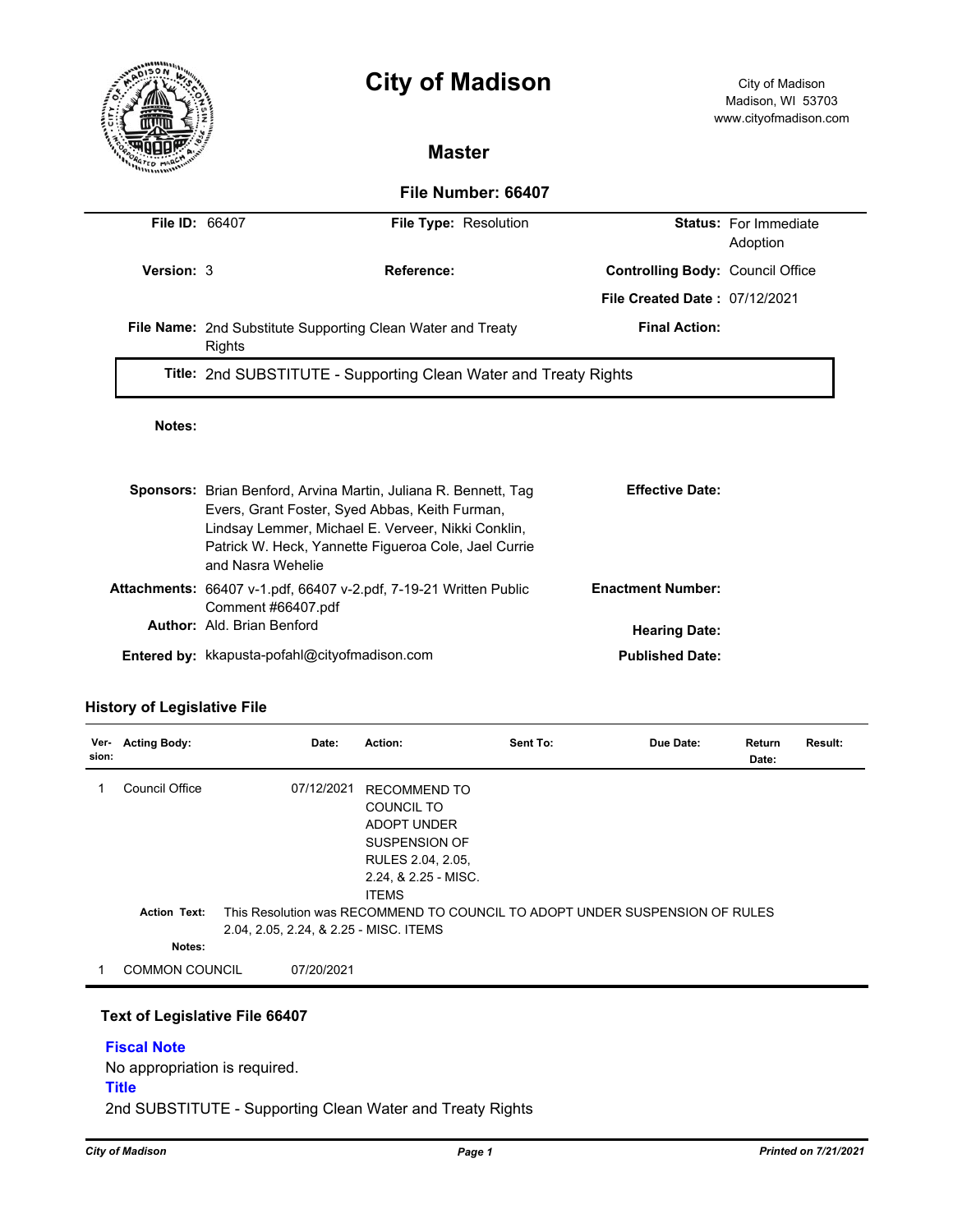

# **City of Madison** City of Madison

### **Master**

#### **File Number: 66407**

| <b>File ID: 66407</b> |                                                                  | File Type: Resolution                                                                                                                                                                                                                  |                                         | <b>Status:</b> For Immediate<br>Adoption |  |  |  |
|-----------------------|------------------------------------------------------------------|----------------------------------------------------------------------------------------------------------------------------------------------------------------------------------------------------------------------------------------|-----------------------------------------|------------------------------------------|--|--|--|
| Version: 3            |                                                                  | Reference:                                                                                                                                                                                                                             | <b>Controlling Body: Council Office</b> |                                          |  |  |  |
|                       |                                                                  |                                                                                                                                                                                                                                        | <b>File Created Date: 07/12/2021</b>    |                                          |  |  |  |
|                       | Rights                                                           | File Name: 2nd Substitute Supporting Clean Water and Treaty                                                                                                                                                                            | <b>Final Action:</b>                    |                                          |  |  |  |
|                       | Title: 2nd SUBSTITUTE - Supporting Clean Water and Treaty Rights |                                                                                                                                                                                                                                        |                                         |                                          |  |  |  |
| Notes:                |                                                                  |                                                                                                                                                                                                                                        |                                         |                                          |  |  |  |
|                       | and Nasra Wehelie                                                | <b>Sponsors:</b> Brian Benford, Arvina Martin, Juliana R. Bennett, Tag<br>Evers, Grant Foster, Syed Abbas, Keith Furman,<br>Lindsay Lemmer, Michael E. Verveer, Nikki Conklin,<br>Patrick W. Heck, Yannette Figueroa Cole, Jael Currie | <b>Effective Date:</b>                  |                                          |  |  |  |
|                       |                                                                  | <b>Attachments:</b> 66407 v-1.pdf, 66407 v-2.pdf, 7-19-21 Written Public                                                                                                                                                               | <b>Enactment Number:</b>                |                                          |  |  |  |
|                       | Comment #66407.pdf<br>Author: Ald. Brian Benford                 |                                                                                                                                                                                                                                        | <b>Hearing Date:</b>                    |                                          |  |  |  |
|                       |                                                                  | Entered by: kkapusta-pofahl@cityofmadison.com                                                                                                                                                                                          | <b>Published Date:</b>                  |                                          |  |  |  |

#### **History of Legislative File**

| Ver-<br>sion: | <b>Acting Body:</b>   | Date:                                  | Action:                                                                                                                               | Sent To:                                                                    | Due Date: | Return<br>Date: | Result: |
|---------------|-----------------------|----------------------------------------|---------------------------------------------------------------------------------------------------------------------------------------|-----------------------------------------------------------------------------|-----------|-----------------|---------|
|               | Council Office        | 07/12/2021                             | <b>RECOMMEND TO</b><br>COUNCIL TO<br><b>ADOPT UNDER</b><br>SUSPENSION OF<br>RULES 2.04, 2.05,<br>2.24, & 2.25 - MISC.<br><b>ITEMS</b> |                                                                             |           |                 |         |
|               | <b>Action Text:</b>   | 2.04, 2.05, 2.24, & 2.25 - MISC. ITEMS |                                                                                                                                       | This Resolution was RECOMMEND TO COUNCIL TO ADOPT UNDER SUSPENSION OF RULES |           |                 |         |
|               | Notes:                |                                        |                                                                                                                                       |                                                                             |           |                 |         |
|               | <b>COMMON COUNCIL</b> | 07/20/2021                             |                                                                                                                                       |                                                                             |           |                 |         |

#### **Text of Legislative File 66407**

## **Fiscal Note** No appropriation is required. **Title**

2nd SUBSTITUTE - Supporting Clean Water and Treaty Rights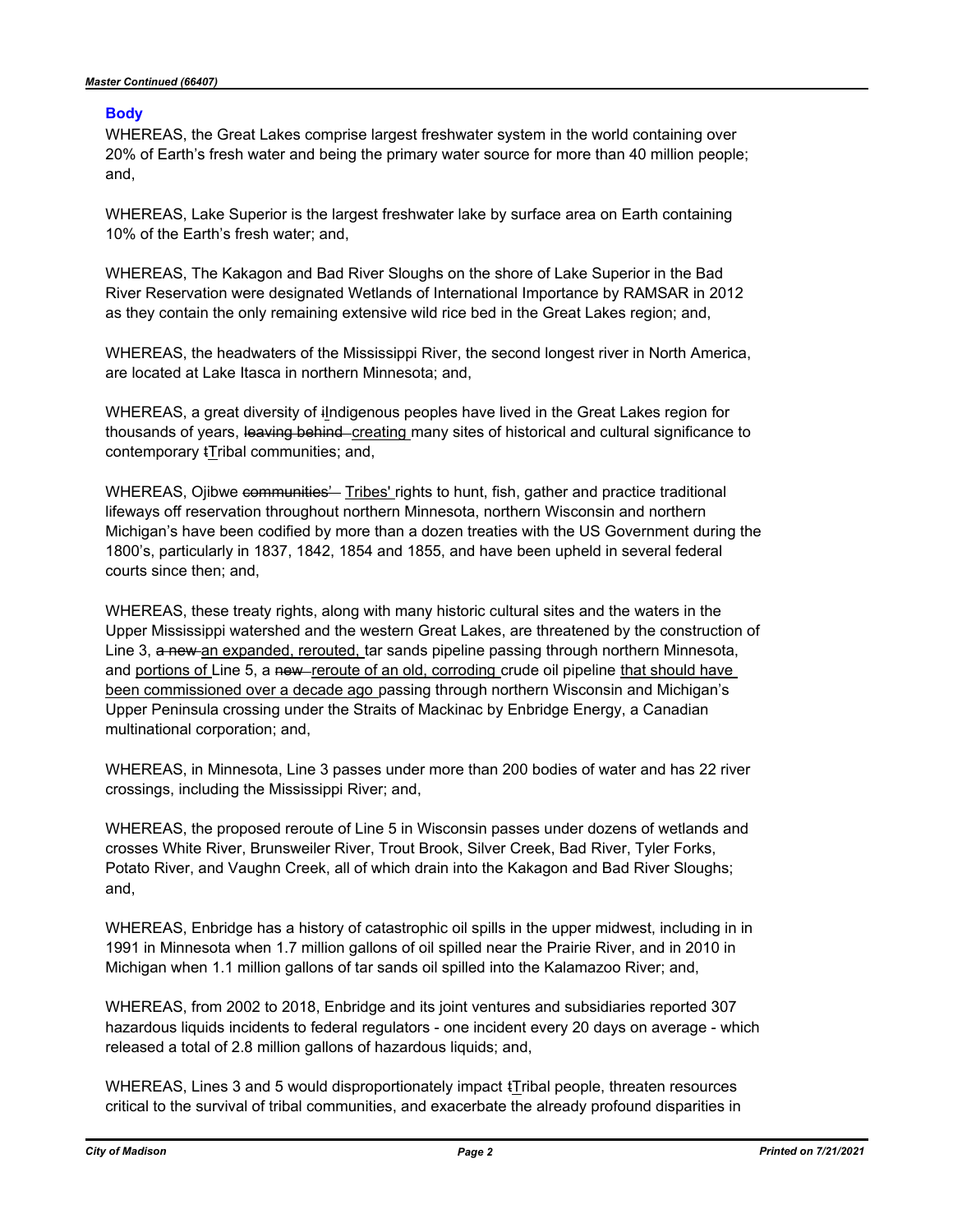#### **Body**

WHEREAS, the Great Lakes comprise largest freshwater system in the world containing over 20% of Earth's fresh water and being the primary water source for more than 40 million people; and,

WHEREAS, Lake Superior is the largest freshwater lake by surface area on Earth containing 10% of the Earth's fresh water; and,

WHEREAS, The Kakagon and Bad River Sloughs on the shore of Lake Superior in the Bad River Reservation were designated Wetlands of International Importance by RAMSAR in 2012 as they contain the only remaining extensive wild rice bed in the Great Lakes region; and,

WHEREAS, the headwaters of the Mississippi River, the second longest river in North America, are located at Lake Itasca in northern Minnesota; and,

WHEREAS, a great diversity of iIndigenous peoples have lived in the Great Lakes region for thousands of years, leaving behind creating many sites of historical and cultural significance to contemporary tTribal communities; and,

WHEREAS, Ojibwe communities<sup>2</sup> Tribes' rights to hunt, fish, gather and practice traditional lifeways off reservation throughout northern Minnesota, northern Wisconsin and northern Michigan's have been codified by more than a dozen treaties with the US Government during the 1800's, particularly in 1837, 1842, 1854 and 1855, and have been upheld in several federal courts since then; and,

WHEREAS, these treaty rights, along with many historic cultural sites and the waters in the Upper Mississippi watershed and the western Great Lakes, are threatened by the construction of Line 3, a new an expanded, rerouted, tar sands pipeline passing through northern Minnesota, and portions of Line 5, a new-reroute of an old, corroding crude oil pipeline that should have been commissioned over a decade ago passing through northern Wisconsin and Michigan's Upper Peninsula crossing under the Straits of Mackinac by Enbridge Energy, a Canadian multinational corporation; and,

WHEREAS, in Minnesota, Line 3 passes under more than 200 bodies of water and has 22 river crossings, including the Mississippi River; and,

WHEREAS, the proposed reroute of Line 5 in Wisconsin passes under dozens of wetlands and crosses White River, Brunsweiler River, Trout Brook, Silver Creek, Bad River, Tyler Forks, Potato River, and Vaughn Creek, all of which drain into the Kakagon and Bad River Sloughs; and,

WHEREAS, Enbridge has a history of catastrophic oil spills in the upper midwest, including in in 1991 in Minnesota when 1.7 million gallons of oil spilled near the Prairie River, and in 2010 in Michigan when 1.1 million gallons of tar sands oil spilled into the Kalamazoo River; and,

WHEREAS, from 2002 to 2018, Enbridge and its joint ventures and subsidiaries reported 307 hazardous liquids incidents to federal regulators - one incident every 20 days on average - which released a total of 2.8 million gallons of hazardous liquids; and,

WHEREAS, Lines 3 and 5 would disproportionately impact  $t$ Tribal people, threaten resources critical to the survival of tribal communities, and exacerbate the already profound disparities in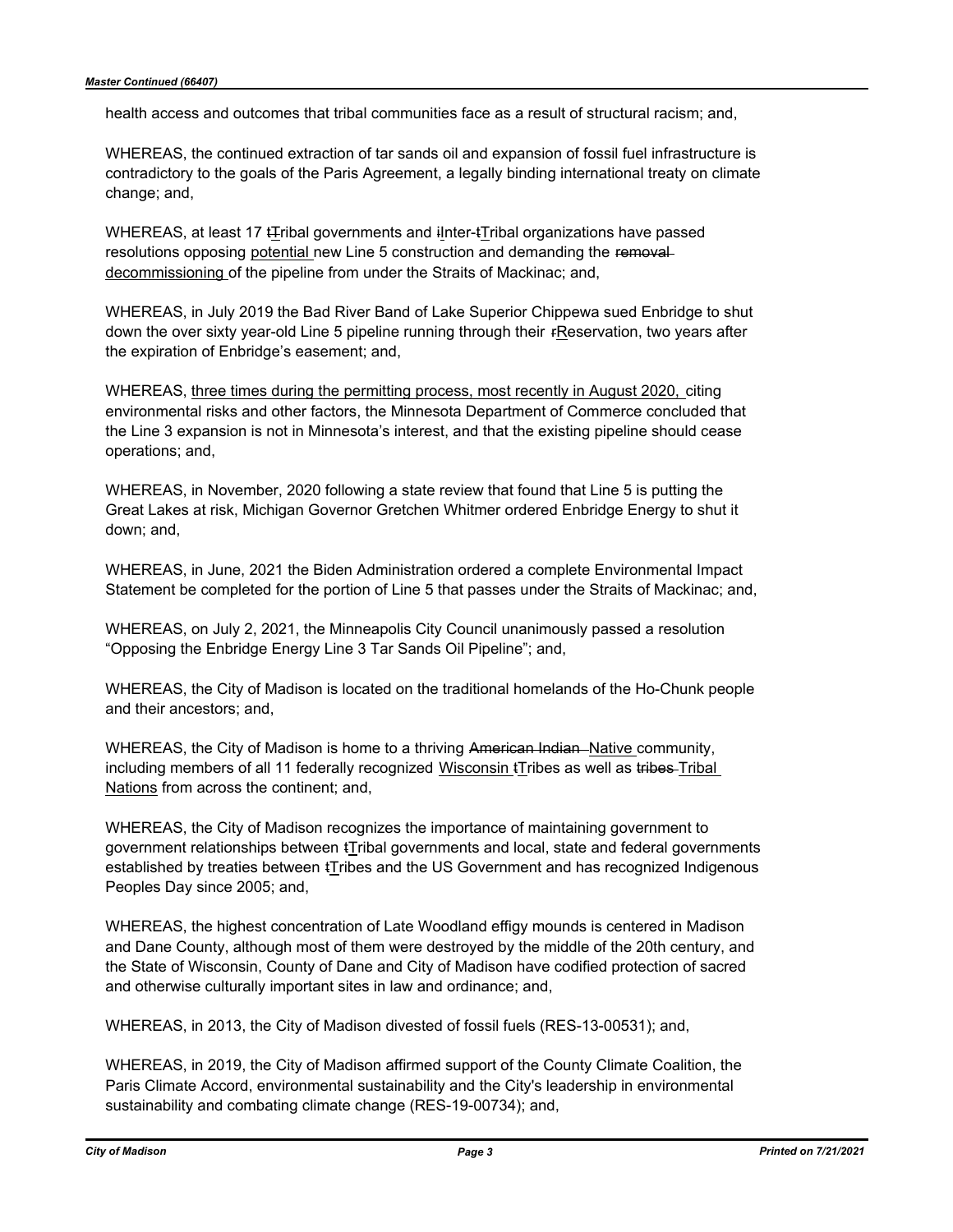health access and outcomes that tribal communities face as a result of structural racism; and,

WHEREAS, the continued extraction of tar sands oil and expansion of fossil fuel infrastructure is contradictory to the goals of the Paris Agreement, a legally binding international treaty on climate change; and,

WHEREAS, at least 17 tTribal governments and iInter-tTribal organizations have passed resolutions opposing potential new Line 5 construction and demanding the removaldecommissioning of the pipeline from under the Straits of Mackinac; and,

WHEREAS, in July 2019 the Bad River Band of Lake Superior Chippewa sued Enbridge to shut down the over sixty year-old Line 5 pipeline running through their rReservation, two years after the expiration of Enbridge's easement; and,

WHEREAS, three times during the permitting process, most recently in August 2020, citing environmental risks and other factors, the Minnesota Department of Commerce concluded that the Line 3 expansion is not in Minnesota's interest, and that the existing pipeline should cease operations; and,

WHEREAS, in November, 2020 following a state review that found that Line 5 is putting the Great Lakes at risk, Michigan Governor Gretchen Whitmer ordered Enbridge Energy to shut it down; and,

WHEREAS, in June, 2021 the Biden Administration ordered a complete Environmental Impact Statement be completed for the portion of Line 5 that passes under the Straits of Mackinac; and,

WHEREAS, on July 2, 2021, the Minneapolis City Council unanimously passed a resolution "Opposing the Enbridge Energy Line 3 Tar Sands Oil Pipeline"; and,

WHEREAS, the City of Madison is located on the traditional homelands of the Ho-Chunk people and their ancestors; and,

WHEREAS, the City of Madison is home to a thriving American Indian Native community, including members of all 11 federally recognized Wisconsin tTribes as well as tribes Tribal Nations from across the continent; and,

WHEREAS, the City of Madison recognizes the importance of maintaining government to government relationships between tTribal governments and local, state and federal governments established by treaties between tTribes and the US Government and has recognized Indigenous Peoples Day since 2005; and,

WHEREAS, the highest concentration of Late Woodland effigy mounds is centered in Madison and Dane County, although most of them were destroyed by the middle of the 20th century, and the State of Wisconsin, County of Dane and City of Madison have codified protection of sacred and otherwise culturally important sites in law and ordinance; and,

WHEREAS, in 2013, the City of Madison divested of fossil fuels (RES-13-00531); and,

WHEREAS, in 2019, the City of Madison affirmed support of the County Climate Coalition, the Paris Climate Accord, environmental sustainability and the City's leadership in environmental sustainability and combating climate change (RES-19-00734); and,